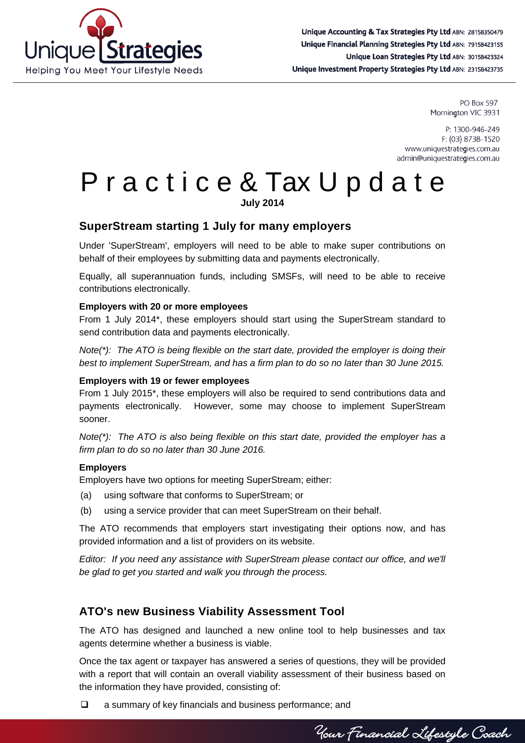

PO Box 597 Mornington VIC 3931

P: 1300-946-249 F: (03) 8738-1520 www.uniquestrategies.com.au admin@uniquestrategies.com.au

# P r a c t i c e & Tax U p d a t e

**July 2014**

## **SuperStream starting 1 July for many employers**

Under 'SuperStream', employers will need to be able to make super contributions on behalf of their employees by submitting data and payments electronically.

Equally, all superannuation funds, including SMSFs, will need to be able to receive contributions electronically.

#### **Employers with 20 or more employees**

From 1 July 2014\*, these employers should start using the SuperStream standard to send contribution data and payments electronically.

*Note(\*): The ATO is being flexible on the start date, provided the employer is doing their best to implement SuperStream, and has a firm plan to do so no later than 30 June 2015.*

#### **Employers with 19 or fewer employees**

From 1 July 2015\*, these employers will also be required to send contributions data and payments electronically. However, some may choose to implement SuperStream sooner.

*Note(\*): The ATO is also being flexible on this start date, provided the employer has a firm plan to do so no later than 30 June 2016.*

#### **Employers**

Employers have two options for meeting SuperStream; either:

- (a) using software that conforms to SuperStream; or
- (b) using a service provider that can meet SuperStream on their behalf.

The ATO recommends that employers start investigating their options now, and has provided information and a list of providers on its website.

*Editor: If you need any assistance with SuperStream please contact our office, and we'll be glad to get you started and walk you through the process.*

## **ATO's new Business Viability Assessment Tool**

The ATO has designed and launched a new online tool to help businesses and tax agents determine whether a business is viable.

Once the tax agent or taxpayer has answered a series of questions, they will be provided with a report that will contain an overall viability assessment of their business based on the information they have provided, consisting of:

 $\Box$  a summary of key financials and business performance; and

Your Financial Lifestyle Coach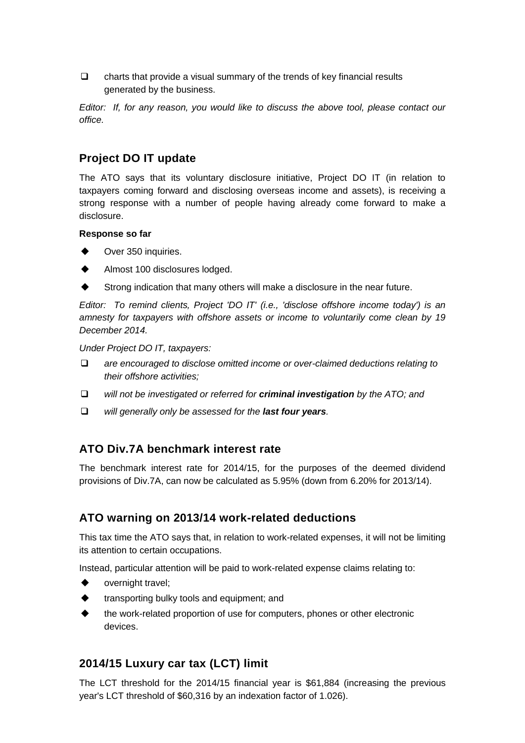$\Box$  charts that provide a visual summary of the trends of key financial results generated by the business.

*Editor: If, for any reason, you would like to discuss the above tool, please contact our office.*

## **Project DO IT update**

The ATO says that its voluntary disclosure initiative, Project DO IT (in relation to taxpayers coming forward and disclosing overseas income and assets), is receiving a strong response with a number of people having already come forward to make a disclosure.

#### **Response so far**

- Over 350 inquiries.
- Almost 100 disclosures lodged.
- Strong indication that many others will make a disclosure in the near future.

*Editor: To remind clients, Project 'DO IT' (i.e., 'disclose offshore income today') is an amnesty for taxpayers with offshore assets or income to voluntarily come clean by 19 December 2014.*

*Under Project DO IT, taxpayers:*

- *are encouraged to disclose omitted income or over-claimed deductions relating to their offshore activities;*
- *will not be investigated or referred for criminal investigation by the ATO; and*
- *will generally only be assessed for the last four years.*

## **ATO Div.7A benchmark interest rate**

The benchmark interest rate for 2014/15, for the purposes of the deemed dividend provisions of Div.7A, can now be calculated as 5.95% (down from 6.20% for 2013/14).

## **ATO warning on 2013/14 work-related deductions**

This tax time the ATO says that, in relation to work-related expenses, it will not be limiting its attention to certain occupations.

Instead, particular attention will be paid to work-related expense claims relating to:

- overnight travel;
- transporting bulky tools and equipment; and
- the work-related proportion of use for computers, phones or other electronic devices.

## **2014/15 Luxury car tax (LCT) limit**

The LCT threshold for the 2014/15 financial year is \$61,884 (increasing the previous year's LCT threshold of \$60,316 by an indexation factor of 1.026).